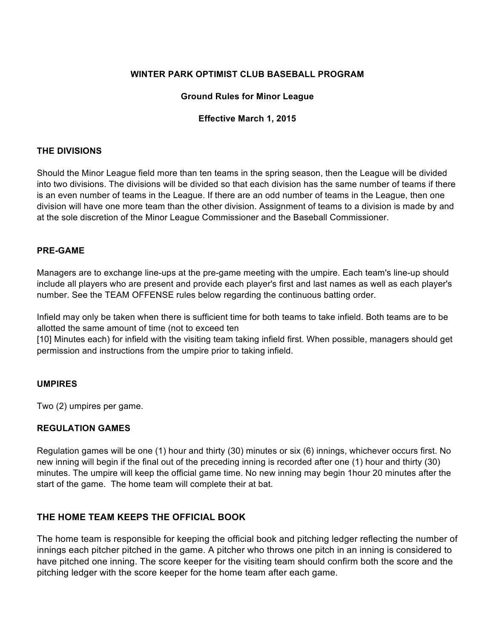#### **WINTER PARK OPTIMIST CLUB BASEBALL PROGRAM**

#### **Ground Rules for Minor League**

#### **Effective March 1, 2015**

#### **THE DIVISIONS**

Should the Minor League field more than ten teams in the spring season, then the League will be divided into two divisions. The divisions will be divided so that each division has the same number of teams if there is an even number of teams in the League. If there are an odd number of teams in the League, then one division will have one more team than the other division. Assignment of teams to a division is made by and at the sole discretion of the Minor League Commissioner and the Baseball Commissioner.

#### **PRE-GAME**

Managers are to exchange line-ups at the pre-game meeting with the umpire. Each team's line-up should include all players who are present and provide each player's first and last names as well as each player's number. See the TEAM OFFENSE rules below regarding the continuous batting order.

Infield may only be taken when there is sufficient time for both teams to take infield. Both teams are to be allotted the same amount of time (not to exceed ten

[10] Minutes each) for infield with the visiting team taking infield first. When possible, managers should get permission and instructions from the umpire prior to taking infield.

#### **UMPIRES**

Two (2) umpires per game.

#### **REGULATION GAMES**

Regulation games will be one (1) hour and thirty (30) minutes or six (6) innings, whichever occurs first. No new inning will begin if the final out of the preceding inning is recorded after one (1) hour and thirty (30) minutes. The umpire will keep the official game time. No new inning may begin 1hour 20 minutes after the start of the game. The home team will complete their at bat.

## **THE HOME TEAM KEEPS THE OFFICIAL BOOK**

The home team is responsible for keeping the official book and pitching ledger reflecting the number of innings each pitcher pitched in the game. A pitcher who throws one pitch in an inning is considered to have pitched one inning. The score keeper for the visiting team should confirm both the score and the pitching ledger with the score keeper for the home team after each game.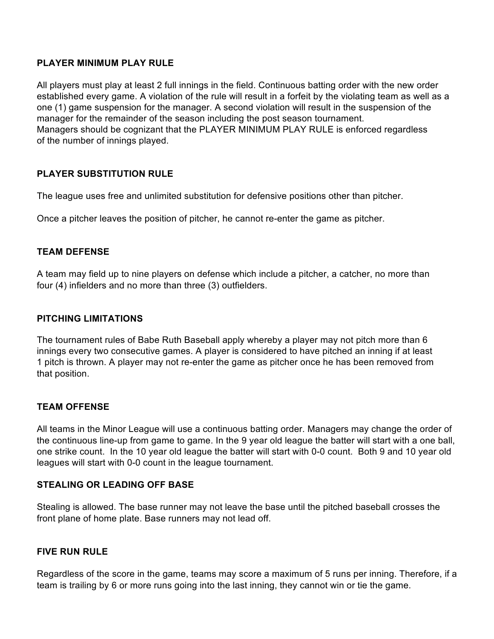### **PLAYER MINIMUM PLAY RULE**

All players must play at least 2 full innings in the field. Continuous batting order with the new order established every game. A violation of the rule will result in a forfeit by the violating team as well as a one (1) game suspension for the manager. A second violation will result in the suspension of the manager for the remainder of the season including the post season tournament. Managers should be cognizant that the PLAYER MINIMUM PLAY RULE is enforced regardless of the number of innings played.

## **PLAYER SUBSTITUTION RULE**

The league uses free and unlimited substitution for defensive positions other than pitcher.

Once a pitcher leaves the position of pitcher, he cannot re-enter the game as pitcher.

## **TEAM DEFENSE**

A team may field up to nine players on defense which include a pitcher, a catcher, no more than four (4) infielders and no more than three (3) outfielders.

### **PITCHING LIMITATIONS**

The tournament rules of Babe Ruth Baseball apply whereby a player may not pitch more than 6 innings every two consecutive games. A player is considered to have pitched an inning if at least 1 pitch is thrown. A player may not re-enter the game as pitcher once he has been removed from that position.

## **TEAM OFFENSE**

All teams in the Minor League will use a continuous batting order. Managers may change the order of the continuous line-up from game to game. In the 9 year old league the batter will start with a one ball, one strike count. In the 10 year old league the batter will start with 0-0 count. Both 9 and 10 year old leagues will start with 0-0 count in the league tournament.

#### **STEALING OR LEADING OFF BASE**

Stealing is allowed. The base runner may not leave the base until the pitched baseball crosses the front plane of home plate. Base runners may not lead off.

## **FIVE RUN RULE**

Regardless of the score in the game, teams may score a maximum of 5 runs per inning. Therefore, if a team is trailing by 6 or more runs going into the last inning, they cannot win or tie the game.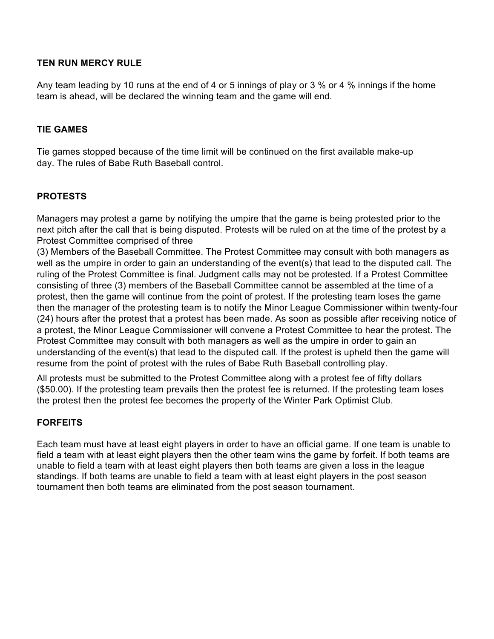# **TEN RUN MERCY RULE**

Any team leading by 10 runs at the end of 4 or 5 innings of play or 3 % or 4 % innings if the home team is ahead, will be declared the winning team and the game will end.

### **TIE GAMES**

Tie games stopped because of the time limit will be continued on the first available make-up day. The rules of Babe Ruth Baseball control.

#### **PROTESTS**

Managers may protest a game by notifying the umpire that the game is being protested prior to the next pitch after the call that is being disputed. Protests will be ruled on at the time of the protest by a Protest Committee comprised of three

(3) Members of the Baseball Committee. The Protest Committee may consult with both managers as well as the umpire in order to gain an understanding of the event(s) that lead to the disputed call. The ruling of the Protest Committee is final. Judgment calls may not be protested. If a Protest Committee consisting of three (3) members of the Baseball Committee cannot be assembled at the time of a protest, then the game will continue from the point of protest. If the protesting team loses the game then the manager of the protesting team is to notify the Minor League Commissioner within twenty-four (24) hours after the protest that a protest has been made. As soon as possible after receiving notice of a protest, the Minor League Commissioner will convene a Protest Committee to hear the protest. The Protest Committee may consult with both managers as well as the umpire in order to gain an understanding of the event(s) that lead to the disputed call. If the protest is upheld then the game will resume from the point of protest with the rules of Babe Ruth Baseball controlling play.

All protests must be submitted to the Protest Committee along with a protest fee of fifty dollars (\$50.00). If the protesting team prevails then the protest fee is returned. If the protesting team loses the protest then the protest fee becomes the property of the Winter Park Optimist Club.

## **FORFEITS**

Each team must have at least eight players in order to have an official game. If one team is unable to field a team with at least eight players then the other team wins the game by forfeit. If both teams are unable to field a team with at least eight players then both teams are given a loss in the league standings. If both teams are unable to field a team with at least eight players in the post season tournament then both teams are eliminated from the post season tournament.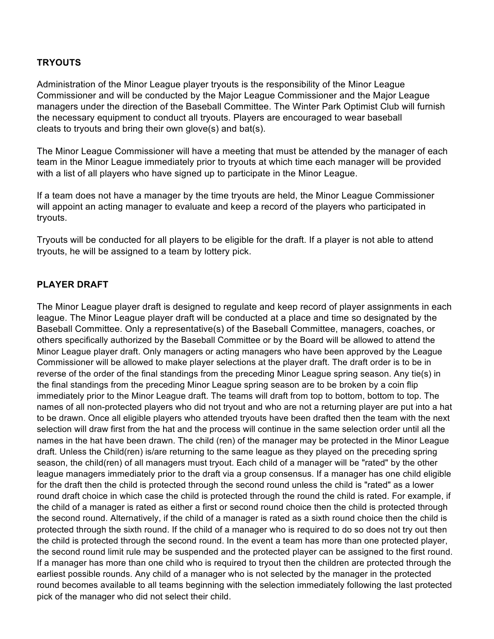# **TRYOUTS**

Administration of the Minor League player tryouts is the responsibility of the Minor League Commissioner and will be conducted by the Major League Commissioner and the Major League managers under the direction of the Baseball Committee. The Winter Park Optimist Club will furnish the necessary equipment to conduct all tryouts. Players are encouraged to wear baseball cleats to tryouts and bring their own glove(s) and bat(s).

The Minor League Commissioner will have a meeting that must be attended by the manager of each team in the Minor League immediately prior to tryouts at which time each manager will be provided with a list of all players who have signed up to participate in the Minor League.

If a team does not have a manager by the time tryouts are held, the Minor League Commissioner will appoint an acting manager to evaluate and keep a record of the players who participated in tryouts.

Tryouts will be conducted for all players to be eligible for the draft. If a player is not able to attend tryouts, he will be assigned to a team by lottery pick.

## **PLAYER DRAFT**

The Minor League player draft is designed to regulate and keep record of player assignments in each league. The Minor League player draft will be conducted at a place and time so designated by the Baseball Committee. Only a representative(s) of the Baseball Committee, managers, coaches, or others specifically authorized by the Baseball Committee or by the Board will be allowed to attend the Minor League player draft. Only managers or acting managers who have been approved by the League Commissioner will be allowed to make player selections at the player draft. The draft order is to be in reverse of the order of the final standings from the preceding Minor League spring season. Any tie(s) in the final standings from the preceding Minor League spring season are to be broken by a coin flip immediately prior to the Minor League draft. The teams will draft from top to bottom, bottom to top. The names of all non-protected players who did not tryout and who are not a returning player are put into a hat to be drawn. Once all eligible players who attended tryouts have been drafted then the team with the next selection will draw first from the hat and the process will continue in the same selection order until all the names in the hat have been drawn. The child (ren) of the manager may be protected in the Minor League draft. Unless the Child(ren) is/are returning to the same league as they played on the preceding spring season, the child(ren) of all managers must tryout. Each child of a manager will be "rated" by the other league managers immediately prior to the draft via a group consensus. If a manager has one child eligible for the draft then the child is protected through the second round unless the child is "rated" as a lower round draft choice in which case the child is protected through the round the child is rated. For example, if the child of a manager is rated as either a first or second round choice then the child is protected through the second round. Alternatively, if the child of a manager is rated as a sixth round choice then the child is protected through the sixth round. If the child of a manager who is required to do so does not try out then the child is protected through the second round. In the event a team has more than one protected player, the second round limit rule may be suspended and the protected player can be assigned to the first round. If a manager has more than one child who is required to tryout then the children are protected through the earliest possible rounds. Any child of a manager who is not selected by the manager in the protected round becomes available to all teams beginning with the selection immediately following the last protected pick of the manager who did not select their child.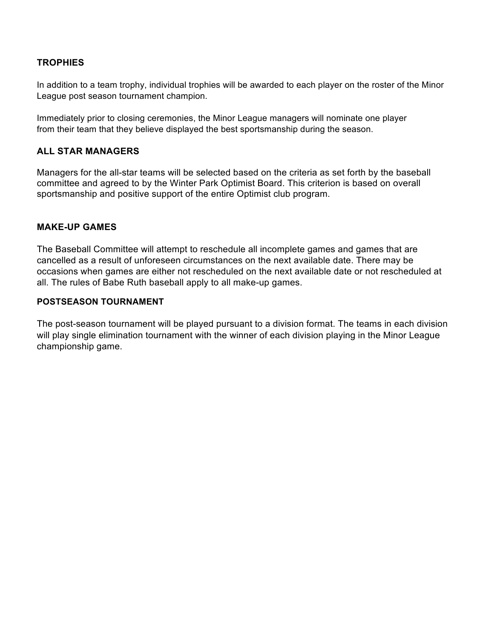# **TROPHIES**

In addition to a team trophy, individual trophies will be awarded to each player on the roster of the Minor League post season tournament champion.

Immediately prior to closing ceremonies, the Minor League managers will nominate one player from their team that they believe displayed the best sportsmanship during the season.

### **ALL STAR MANAGERS**

Managers for the all-star teams will be selected based on the criteria as set forth by the baseball committee and agreed to by the Winter Park Optimist Board. This criterion is based on overall sportsmanship and positive support of the entire Optimist club program.

#### **MAKE-UP GAMES**

The Baseball Committee will attempt to reschedule all incomplete games and games that are cancelled as a result of unforeseen circumstances on the next available date. There may be occasions when games are either not rescheduled on the next available date or not rescheduled at all. The rules of Babe Ruth baseball apply to all make-up games.

#### **POSTSEASON TOURNAMENT**

The post-season tournament will be played pursuant to a division format. The teams in each division will play single elimination tournament with the winner of each division playing in the Minor League championship game.